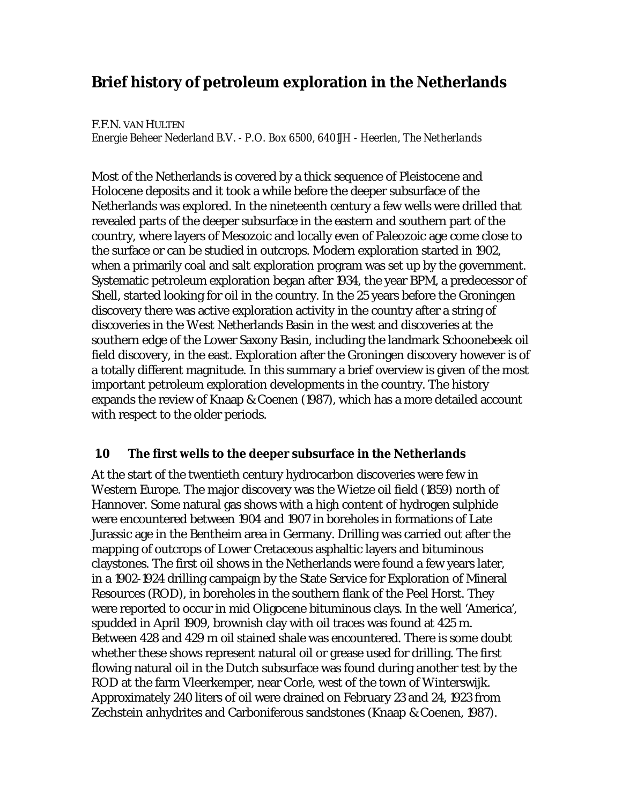# **Brief history of petroleum exploration in the Netherlands**

#### F.F.N. VAN HULTEN

*Energie Beheer Nederland B.V. - P.O. Box 6500, 6401JH - Heerlen, The Netherlands*

Most of the Netherlands is covered by a thick sequence of Pleistocene and Holocene deposits and it took a while before the deeper subsurface of the Netherlands was explored. In the nineteenth century a few wells were drilled that revealed parts of the deeper subsurface in the eastern and southern part of the country, where layers of Mesozoic and locally even of Paleozoic age come close to the surface or can be studied in outcrops. Modern exploration started in 1902, when a primarily coal and salt exploration program was set up by the government. Systematic petroleum exploration began after 1934, the year BPM, a predecessor of Shell, started looking for oil in the country. In the 25 years before the Groningen discovery there was active exploration activity in the country after a string of discoveries in the West Netherlands Basin in the west and discoveries at the southern edge of the Lower Saxony Basin, including the landmark Schoonebeek oil field discovery, in the east. Exploration after the Groningen discovery however is of a totally different magnitude. In this summary a brief overview is given of the most important petroleum exploration developments in the country. The history expands the review of Knaap & Coenen (1987), which has a more detailed account with respect to the older periods.

# **1.0 The first wells to the deeper subsurface in the Netherlands**

At the start of the twentieth century hydrocarbon discoveries were few in Western Europe. The major discovery was the Wietze oil field (1859) north of Hannover. Some natural gas shows with a high content of hydrogen sulphide were encountered between 1904 and 1907 in boreholes in formations of Late Jurassic age in the Bentheim area in Germany. Drilling was carried out after the mapping of outcrops of Lower Cretaceous asphaltic layers and bituminous claystones. The first oil shows in the Netherlands were found a few years later, in a 1902-1924 drilling campaign by the State Service for Exploration of Mineral Resources (ROD), in boreholes in the southern flank of the Peel Horst. They were reported to occur in mid Oligocene bituminous clays. In the well 'America', spudded in April 1909, brownish clay with oil traces was found at 425 m. Between 428 and 429 m oil stained shale was encountered. There is some doubt whether these shows represent natural oil or grease used for drilling. The first flowing natural oil in the Dutch subsurface was found during another test by the ROD at the farm Vleerkemper, near Corle, west of the town of Winterswijk. Approximately 240 liters of oil were drained on February 23 and 24, 1923 from Zechstein anhydrites and Carboniferous sandstones (Knaap & Coenen, 1987).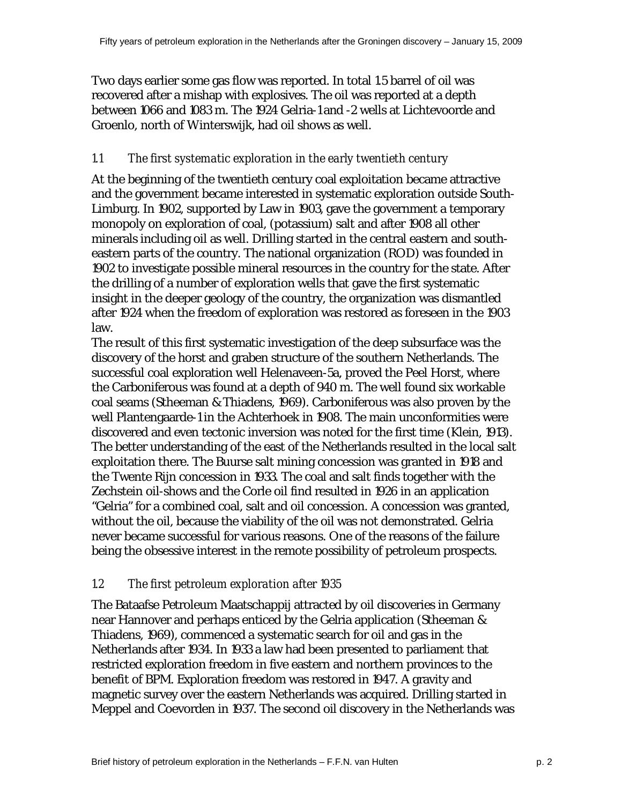Two days earlier some gas flow was reported. In total 1.5 barrel of oil was recovered after a mishap with explosives. The oil was reported at a depth between 1066 and 1083 m. The 1924 Gelria-1 and -2 wells at Lichtevoorde and Groenlo, north of Winterswijk, had oil shows as well.

#### *1.1 The first systematic exploration in the early twentieth century*

At the beginning of the twentieth century coal exploitation became attractive and the government became interested in systematic exploration outside South-Limburg. In 1902, supported by Law in 1903, gave the government a temporary monopoly on exploration of coal, (potassium) salt and after 1908 all other minerals including oil as well. Drilling started in the central eastern and southeastern parts of the country. The national organization (ROD) was founded in 1902 to investigate possible mineral resources in the country for the state. After the drilling of a number of exploration wells that gave the first systematic insight in the deeper geology of the country, the organization was dismantled after 1924 when the freedom of exploration was restored as foreseen in the 1903 law.

The result of this first systematic investigation of the deep subsurface was the discovery of the horst and graben structure of the southern Netherlands. The successful coal exploration well Helenaveen-5a, proved the Peel Horst, where the Carboniferous was found at a depth of 940 m. The well found six workable coal seams (Stheeman & Thiadens, 1969). Carboniferous was also proven by the well Plantengaarde-1 in the Achterhoek in 1908. The main unconformities were discovered and even tectonic inversion was noted for the first time (Klein, 1913). The better understanding of the east of the Netherlands resulted in the local salt exploitation there. The Buurse salt mining concession was granted in 1918 and the Twente Rijn concession in 1933. The coal and salt finds together with the Zechstein oil-shows and the Corle oil find resulted in 1926 in an application "Gelria" for a combined coal, salt and oil concession. A concession was granted, without the oil, because the viability of the oil was not demonstrated. Gelria never became successful for various reasons. One of the reasons of the failure being the obsessive interest in the remote possibility of petroleum prospects.

# *1.2 The first petroleum exploration after 1935*

The Bataafse Petroleum Maatschappij attracted by oil discoveries in Germany near Hannover and perhaps enticed by the Gelria application (Stheeman & Thiadens, 1969), commenced a systematic search for oil and gas in the Netherlands after 1934. In 1933 a law had been presented to parliament that restricted exploration freedom in five eastern and northern provinces to the benefit of BPM. Exploration freedom was restored in 1947. A gravity and magnetic survey over the eastern Netherlands was acquired. Drilling started in Meppel and Coevorden in 1937. The second oil discovery in the Netherlands was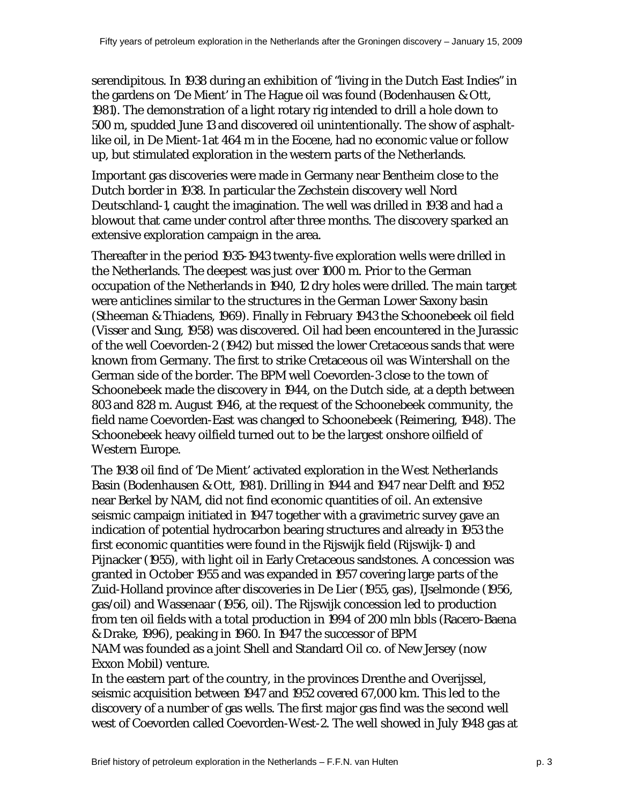serendipitous. In 1938 during an exhibition of "living in the Dutch East Indies" in the gardens on 'De Mient' in The Hague oil was found (Bodenhausen & Ott, 1981). The demonstration of a light rotary rig intended to drill a hole down to 500 m, spudded June 13 and discovered oil unintentionally. The show of asphaltlike oil, in De Mient-1 at 464 m in the Eocene, had no economic value or follow up, but stimulated exploration in the western parts of the Netherlands.

Important gas discoveries were made in Germany near Bentheim close to the Dutch border in 1938. In particular the Zechstein discovery well Nord Deutschland-1, caught the imagination. The well was drilled in 1938 and had a blowout that came under control after three months. The discovery sparked an extensive exploration campaign in the area.

Thereafter in the period 1935-1943 twenty-five exploration wells were drilled in the Netherlands. The deepest was just over 1000 m. Prior to the German occupation of the Netherlands in 1940, 12 dry holes were drilled. The main target were anticlines similar to the structures in the German Lower Saxony basin (Stheeman & Thiadens, 1969). Finally in February 1943 the Schoonebeek oil field (Visser and Sung, 1958) was discovered. Oil had been encountered in the Jurassic of the well Coevorden-2 (1942) but missed the lower Cretaceous sands that were known from Germany. The first to strike Cretaceous oil was Wintershall on the German side of the border. The BPM well Coevorden-3 close to the town of Schoonebeek made the discovery in 1944, on the Dutch side, at a depth between 803 and 828 m. August 1946, at the request of the Schoonebeek community, the field name Coevorden-East was changed to Schoonebeek (Reimering, 1948). The Schoonebeek heavy oilfield turned out to be the largest onshore oilfield of Western Europe.

The 1938 oil find of 'De Mient' activated exploration in the West Netherlands Basin (Bodenhausen & Ott, 1981). Drilling in 1944 and 1947 near Delft and 1952 near Berkel by NAM, did not find economic quantities of oil. An extensive seismic campaign initiated in 1947 together with a gravimetric survey gave an indication of potential hydrocarbon bearing structures and already in 1953 the first economic quantities were found in the Rijswijk field (Rijswijk-1) and Pijnacker (1955), with light oil in Early Cretaceous sandstones. A concession was granted in October 1955 and was expanded in 1957 covering large parts of the Zuid-Holland province after discoveries in De Lier (1955, gas), IJselmonde (1956, gas/oil) and Wassenaar (1956, oil). The Rijswijk concession led to production from ten oil fields with a total production in 1994 of 200 mln bbls (Racero-Baena & Drake, 1996), peaking in 1960. In 1947 the successor of BPM NAM was founded as a joint Shell and Standard Oil co. of New Jersey (now Exxon Mobil) venture.

In the eastern part of the country, in the provinces Drenthe and Overijssel, seismic acquisition between 1947 and 1952 covered 67,000 km. This led to the discovery of a number of gas wells. The first major gas find was the second well west of Coevorden called Coevorden-West-2. The well showed in July 1948 gas at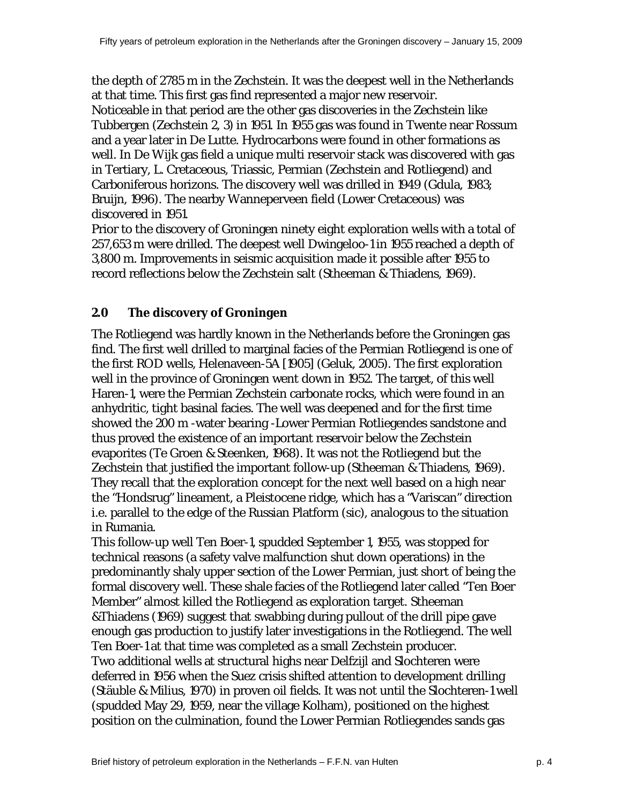the depth of 2785 m in the Zechstein. It was the deepest well in the Netherlands at that time. This first gas find represented a major new reservoir.

Noticeable in that period are the other gas discoveries in the Zechstein like Tubbergen (Zechstein 2, 3) in 1951. In 1955 gas was found in Twente near Rossum and a year later in De Lutte. Hydrocarbons were found in other formations as well. In De Wijk gas field a unique multi reservoir stack was discovered with gas in Tertiary, L. Cretaceous, Triassic, Permian (Zechstein and Rotliegend) and Carboniferous horizons. The discovery well was drilled in 1949 (Gdula, 1983; Bruijn, 1996). The nearby Wanneperveen field (Lower Cretaceous) was discovered in 1951.

Prior to the discovery of Groningen ninety eight exploration wells with a total of 257,653 m were drilled. The deepest well Dwingeloo-1 in 1955 reached a depth of 3,800 m. Improvements in seismic acquisition made it possible after 1955 to record reflections below the Zechstein salt (Stheeman & Thiadens, 1969).

# **2.0 The discovery of Groningen**

The Rotliegend was hardly known in the Netherlands before the Groningen gas find. The first well drilled to marginal facies of the Permian Rotliegend is one of the first ROD wells, Helenaveen-5A [1905] (Geluk, 2005). The first exploration well in the province of Groningen went down in 1952. The target, of this well Haren-1, were the Permian Zechstein carbonate rocks, which were found in an anhydritic, tight basinal facies. The well was deepened and for the first time showed the 200 m -water bearing -Lower Permian Rotliegendes sandstone and thus proved the existence of an important reservoir below the Zechstein evaporites (Te Groen & Steenken, 1968). It was not the Rotliegend but the Zechstein that justified the important follow-up (Stheeman & Thiadens, 1969). They recall that the exploration concept for the next well based on a high near the "Hondsrug" lineament, a Pleistocene ridge, which has a "Variscan" direction i.e. parallel to the edge of the Russian Platform (sic), analogous to the situation in Rumania.

This follow-up well Ten Boer-1, spudded September 1, 1955, was stopped for technical reasons (a safety valve malfunction shut down operations) in the predominantly shaly upper section of the Lower Permian, just short of being the formal discovery well. These shale facies of the Rotliegend later called "Ten Boer Member" almost killed the Rotliegend as exploration target. Stheeman &Thiadens (1969) suggest that swabbing during pullout of the drill pipe gave enough gas production to justify later investigations in the Rotliegend. The well Ten Boer-1 at that time was completed as a small Zechstein producer. Two additional wells at structural highs near Delfzijl and Slochteren were deferred in 1956 when the Suez crisis shifted attention to development drilling (Stäuble & Milius, 1970) in proven oil fields. It was not until the Slochteren-1 well (spudded May 29, 1959, near the village Kolham), positioned on the highest position on the culmination, found the Lower Permian Rotliegendes sands gas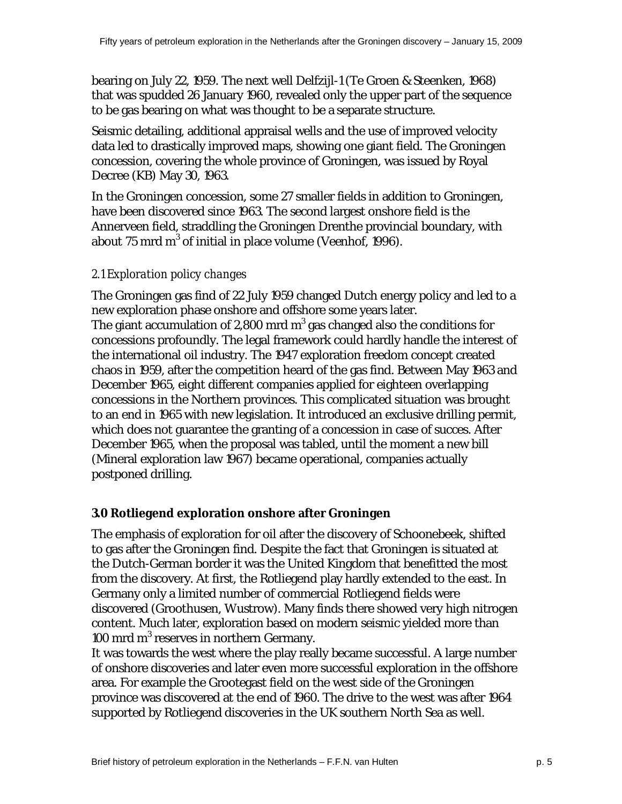bearing on July 22, 1959. The next well Delfzijl-1 (Te Groen & Steenken, 1968) that was spudded 26 January 1960, revealed only the upper part of the sequence to be gas bearing on what was thought to be a separate structure.

Seismic detailing, additional appraisal wells and the use of improved velocity data led to drastically improved maps, showing one giant field. The Groningen concession, covering the whole province of Groningen, was issued by Royal Decree (KB) May 30, 1963.

In the Groningen concession, some 27 smaller fields in addition to Groningen, have been discovered since 1963. The second largest onshore field is the Annerveen field, straddling the Groningen Drenthe provincial boundary, with about 75 mrd m $3$  of initial in place volume (Veenhof, 1996).

### *2.1 Exploration policy changes*

The Groningen gas find of 22 July 1959 changed Dutch energy policy and led to a new exploration phase onshore and offshore some years later. The giant accumulation of 2,800 mrd  $m^3$  gas changed also the conditions for concessions profoundly. The legal framework could hardly handle the interest of the international oil industry. The 1947 exploration freedom concept created chaos in 1959, after the competition heard of the gas find. Between May 1963 and December 1965, eight different companies applied for eighteen overlapping concessions in the Northern provinces. This complicated situation was brought to an end in 1965 with new legislation. It introduced an exclusive drilling permit, which does not guarantee the granting of a concession in case of succes. After December 1965, when the proposal was tabled, until the moment a new bill (Mineral exploration law 1967) became operational, companies actually postponed drilling.

# **3.0 Rotliegend exploration onshore after Groningen**

The emphasis of exploration for oil after the discovery of Schoonebeek, shifted to gas after the Groningen find. Despite the fact that Groningen is situated at the Dutch-German border it was the United Kingdom that benefitted the most from the discovery. At first, the Rotliegend play hardly extended to the east. In Germany only a limited number of commercial Rotliegend fields were discovered (Groothusen, Wustrow). Many finds there showed very high nitrogen content. Much later, exploration based on modern seismic yielded more than 100 mrd m $3$  reserves in northern Germany.

It was towards the west where the play really became successful. A large number of onshore discoveries and later even more successful exploration in the offshore area. For example the Grootegast field on the west side of the Groningen province was discovered at the end of 1960. The drive to the west was after 1964 supported by Rotliegend discoveries in the UK southern North Sea as well.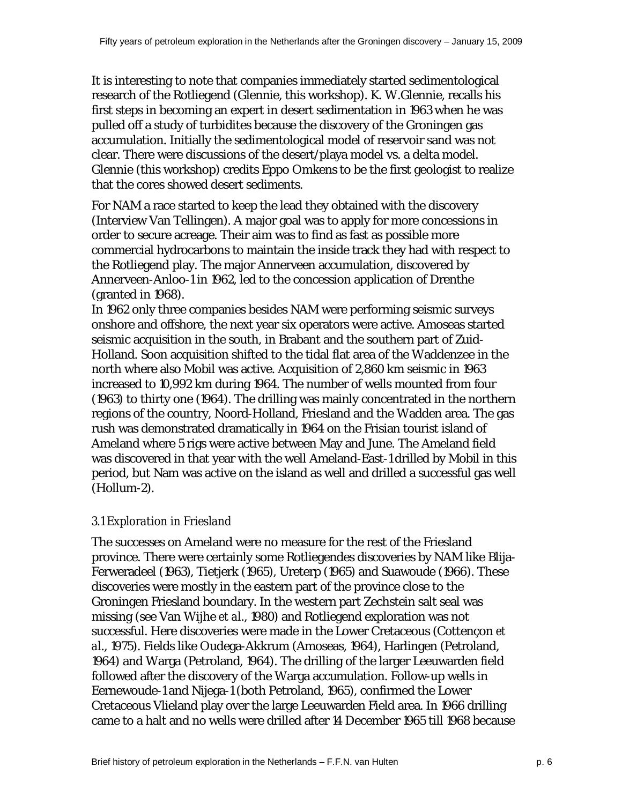It is interesting to note that companies immediately started sedimentological research of the Rotliegend (Glennie, this workshop). K. W.Glennie, recalls his first steps in becoming an expert in desert sedimentation in 1963 when he was pulled off a study of turbidites because the discovery of the Groningen gas accumulation. Initially the sedimentological model of reservoir sand was not clear. There were discussions of the desert/playa model vs. a delta model. Glennie (this workshop) credits Eppo Omkens to be the first geologist to realize that the cores showed desert sediments.

For NAM a race started to keep the lead they obtained with the discovery (Interview Van Tellingen). A major goal was to apply for more concessions in order to secure acreage. Their aim was to find as fast as possible more commercial hydrocarbons to maintain the inside track they had with respect to the Rotliegend play. The major Annerveen accumulation, discovered by Annerveen-Anloo-1 in 1962, led to the concession application of Drenthe (granted in 1968).

In 1962 only three companies besides NAM were performing seismic surveys onshore and offshore, the next year six operators were active. Amoseas started seismic acquisition in the south, in Brabant and the southern part of Zuid-Holland. Soon acquisition shifted to the tidal flat area of the Waddenzee in the north where also Mobil was active. Acquisition of 2,860 km seismic in 1963 increased to 10,992 km during 1964. The number of wells mounted from four (1963) to thirty one (1964). The drilling was mainly concentrated in the northern regions of the country, Noord-Holland, Friesland and the Wadden area. The gas rush was demonstrated dramatically in 1964 on the Frisian tourist island of Ameland where 5 rigs were active between May and June. The Ameland field was discovered in that year with the well Ameland-East-1 drilled by Mobil in this period, but Nam was active on the island as well and drilled a successful gas well (Hollum-2).

# *3.1 Exploration in Friesland*

The successes on Ameland were no measure for the rest of the Friesland province. There were certainly some Rotliegendes discoveries by NAM like Blija-Ferweradeel (1963), Tietjerk (1965), Ureterp (1965) and Suawoude (1966). These discoveries were mostly in the eastern part of the province close to the Groningen Friesland boundary. In the western part Zechstein salt seal was missing (see Van Wijhe *et al*., 1980) and Rotliegend exploration was not successful. Here discoveries were made in the Lower Cretaceous (Cottençon *et al*., 1975). Fields like Oudega-Akkrum (Amoseas, 1964), Harlingen (Petroland, 1964) and Warga (Petroland, 1964). The drilling of the larger Leeuwarden field followed after the discovery of the Warga accumulation. Follow-up wells in Eernewoude-1 and Nijega-1 (both Petroland, 1965), confirmed the Lower Cretaceous Vlieland play over the large Leeuwarden Field area. In 1966 drilling came to a halt and no wells were drilled after 14 December 1965 till 1968 because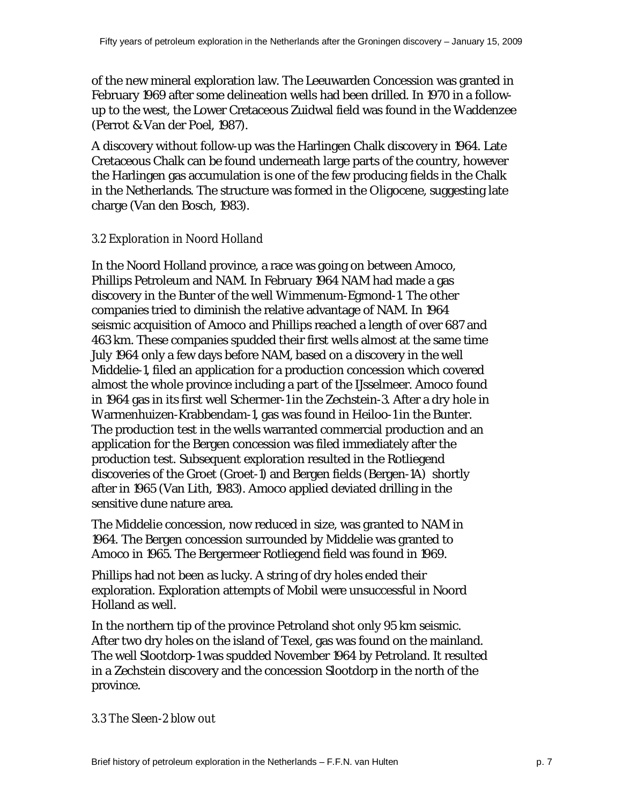of the new mineral exploration law. The Leeuwarden Concession was granted in February 1969 after some delineation wells had been drilled. In 1970 in a followup to the west, the Lower Cretaceous Zuidwal field was found in the Waddenzee (Perrot & Van der Poel, 1987).

A discovery without follow-up was the Harlingen Chalk discovery in 1964. Late Cretaceous Chalk can be found underneath large parts of the country, however the Harlingen gas accumulation is one of the few producing fields in the Chalk in the Netherlands. The structure was formed in the Oligocene, suggesting late charge (Van den Bosch, 1983).

### *3.2 Exploration in Noord Holland*

In the Noord Holland province, a race was going on between Amoco, Phillips Petroleum and NAM. In February 1964 NAM had made a gas discovery in the Bunter of the well Wimmenum-Egmond-1. The other companies tried to diminish the relative advantage of NAM. In 1964 seismic acquisition of Amoco and Phillips reached a length of over 687 and 463 km. These companies spudded their first wells almost at the same time July 1964 only a few days before NAM, based on a discovery in the well Middelie-1, filed an application for a production concession which covered almost the whole province including a part of the IJsselmeer. Amoco found in 1964 gas in its first well Schermer-1 in the Zechstein-3. After a dry hole in Warmenhuizen-Krabbendam-1, gas was found in Heiloo-1 in the Bunter. The production test in the wells warranted commercial production and an application for the Bergen concession was filed immediately after the production test. Subsequent exploration resulted in the Rotliegend discoveries of the Groet (Groet-1) and Bergen fields (Bergen-1A) shortly after in 1965 (Van Lith, 1983). Amoco applied deviated drilling in the sensitive dune nature area.

The Middelie concession, now reduced in size, was granted to NAM in 1964. The Bergen concession surrounded by Middelie was granted to Amoco in 1965. The Bergermeer Rotliegend field was found in 1969.

Phillips had not been as lucky. A string of dry holes ended their exploration. Exploration attempts of Mobil were unsuccessful in Noord Holland as well.

In the northern tip of the province Petroland shot only 95 km seismic. After two dry holes on the island of Texel, gas was found on the mainland. The well Slootdorp-1 was spudded November 1964 by Petroland. It resulted in a Zechstein discovery and the concession Slootdorp in the north of the province.

#### *3.3 The Sleen-2 blow out*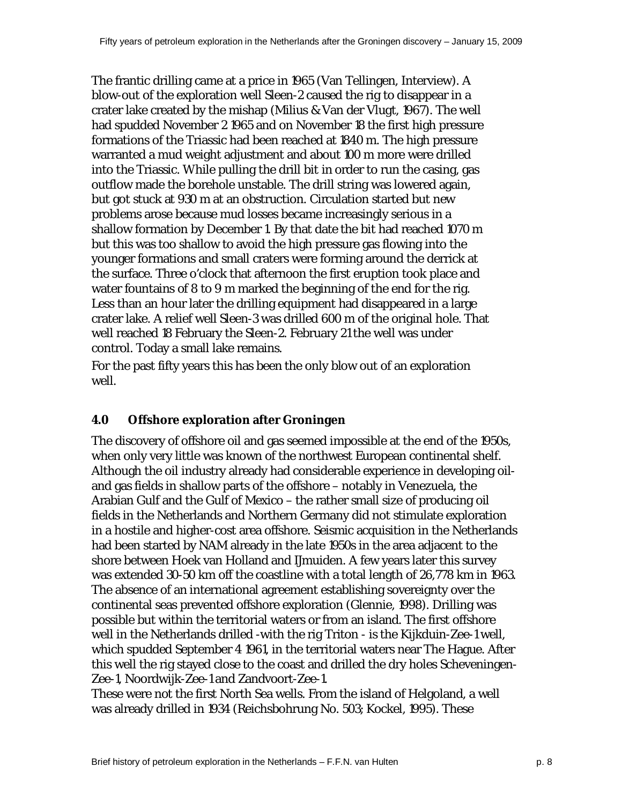The frantic drilling came at a price in 1965 (Van Tellingen, Interview). A blow-out of the exploration well Sleen-2 caused the rig to disappear in a crater lake created by the mishap (Milius & Van der Vlugt, 1967). The well had spudded November 2 1965 and on November 18 the first high pressure formations of the Triassic had been reached at 1840 m. The high pressure warranted a mud weight adjustment and about 100 m more were drilled into the Triassic. While pulling the drill bit in order to run the casing, gas outflow made the borehole unstable. The drill string was lowered again, but got stuck at 930 m at an obstruction. Circulation started but new problems arose because mud losses became increasingly serious in a shallow formation by December 1. By that date the bit had reached 1070 m but this was too shallow to avoid the high pressure gas flowing into the younger formations and small craters were forming around the derrick at the surface. Three o'clock that afternoon the first eruption took place and water fountains of 8 to 9 m marked the beginning of the end for the rig. Less than an hour later the drilling equipment had disappeared in a large crater lake. A relief well Sleen-3 was drilled 600 m of the original hole. That well reached 18 February the Sleen-2. February 21 the well was under control. Today a small lake remains.

For the past fifty years this has been the only blow out of an exploration well.

# **4.0 Offshore exploration after Groningen**

The discovery of offshore oil and gas seemed impossible at the end of the 1950s, when only very little was known of the northwest European continental shelf. Although the oil industry already had considerable experience in developing oiland gas fields in shallow parts of the offshore – notably in Venezuela, the Arabian Gulf and the Gulf of Mexico – the rather small size of producing oil fields in the Netherlands and Northern Germany did not stimulate exploration in a hostile and higher-cost area offshore. Seismic acquisition in the Netherlands had been started by NAM already in the late 1950s in the area adjacent to the shore between Hoek van Holland and IJmuiden. A few years later this survey was extended 30-50 km off the coastline with a total length of 26,778 km in 1963. The absence of an international agreement establishing sovereignty over the continental seas prevented offshore exploration (Glennie, 1998). Drilling was possible but within the territorial waters or from an island. The first offshore well in the Netherlands drilled -with the rig Triton - is the Kijkduin-Zee-1 well, which spudded September 4 1961, in the territorial waters near The Hague. After this well the rig stayed close to the coast and drilled the dry holes Scheveningen-Zee-1, Noordwijk-Zee-1 and Zandvoort-Zee-1.

These were not the first North Sea wells. From the island of Helgoland, a well was already drilled in 1934 (Reichsbohrung No. 503; Kockel, 1995). These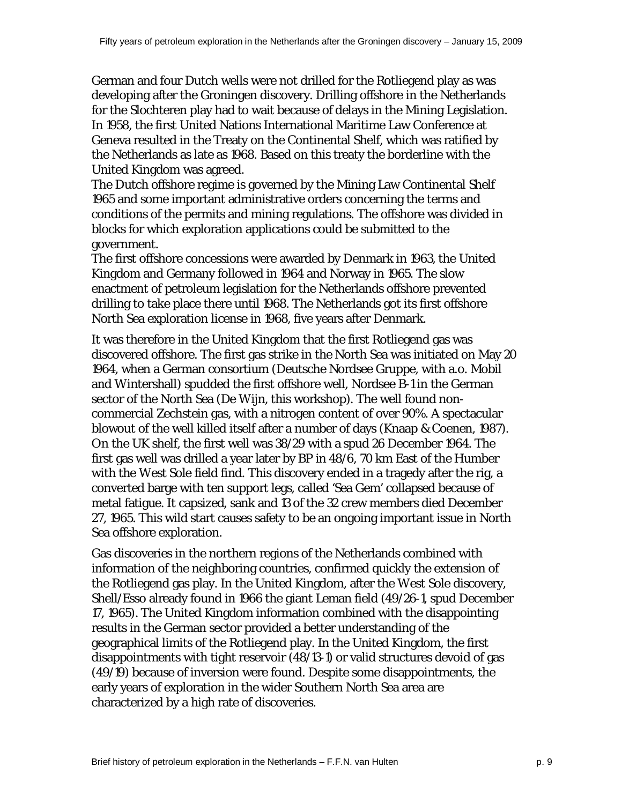German and four Dutch wells were not drilled for the Rotliegend play as was developing after the Groningen discovery. Drilling offshore in the Netherlands for the Slochteren play had to wait because of delays in the Mining Legislation. In 1958, the first United Nations International Maritime Law Conference at Geneva resulted in the Treaty on the Continental Shelf, which was ratified by the Netherlands as late as 1968. Based on this treaty the borderline with the United Kingdom was agreed.

The Dutch offshore regime is governed by the Mining Law Continental Shelf 1965 and some important administrative orders concerning the terms and conditions of the permits and mining regulations. The offshore was divided in blocks for which exploration applications could be submitted to the government.

The first offshore concessions were awarded by Denmark in 1963, the United Kingdom and Germany followed in 1964 and Norway in 1965. The slow enactment of petroleum legislation for the Netherlands offshore prevented drilling to take place there until 1968. The Netherlands got its first offshore North Sea exploration license in 1968, five years after Denmark.

It was therefore in the United Kingdom that the first Rotliegend gas was discovered offshore. The first gas strike in the North Sea was initiated on May 20 1964, when a German consortium (Deutsche Nordsee Gruppe, with a.o. Mobil and Wintershall) spudded the first offshore well, Nordsee B-1 in the German sector of the North Sea (De Wijn, this workshop). The well found noncommercial Zechstein gas, with a nitrogen content of over 90%. A spectacular blowout of the well killed itself after a number of days (Knaap & Coenen, 1987). On the UK shelf, the first well was 38/29 with a spud 26 December 1964. The first gas well was drilled a year later by BP in 48/6, 70 km East of the Humber with the West Sole field find. This discovery ended in a tragedy after the rig, a converted barge with ten support legs, called 'Sea Gem' collapsed because of metal fatigue. It capsized, sank and 13 of the 32 crew members died December 27, 1965. This wild start causes safety to be an ongoing important issue in North Sea offshore exploration.

Gas discoveries in the northern regions of the Netherlands combined with information of the neighboring countries, confirmed quickly the extension of the Rotliegend gas play. In the United Kingdom, after the West Sole discovery, Shell/Esso already found in 1966 the giant Leman field (49/26-1, spud December 17, 1965). The United Kingdom information combined with the disappointing results in the German sector provided a better understanding of the geographical limits of the Rotliegend play. In the United Kingdom, the first disappointments with tight reservoir (48/13-1) or valid structures devoid of gas (49/19) because of inversion were found. Despite some disappointments, the early years of exploration in the wider Southern North Sea area are characterized by a high rate of discoveries.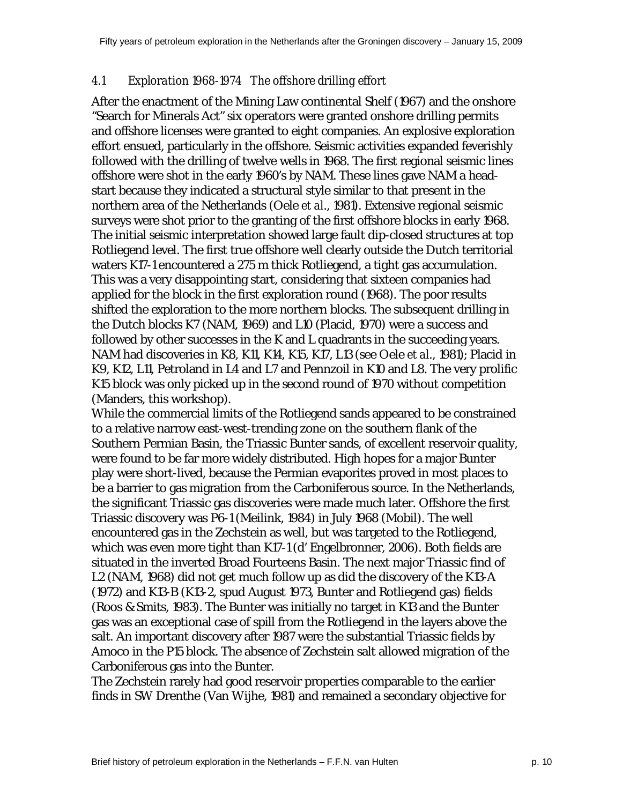#### *4.1 Exploration 1968-1974 The offshore drilling effort*

After the enactment of the Mining Law continental Shelf (1967) and the onshore "Search for Minerals Act" six operators were granted onshore drilling permits and offshore licenses were granted to eight companies. An explosive exploration effort ensued, particularly in the offshore. Seismic activities expanded feverishly followed with the drilling of twelve wells in 1968. The first regional seismic lines offshore were shot in the early 1960's by NAM. These lines gave NAM a headstart because they indicated a structural style similar to that present in the northern area of the Netherlands (Oele *et al*., 1981). Extensive regional seismic surveys were shot prior to the granting of the first offshore blocks in early 1968. The initial seismic interpretation showed large fault dip-closed structures at top Rotliegend level. The first true offshore well clearly outside the Dutch territorial waters K17-1 encountered a 275 m thick Rotliegend, a tight gas accumulation. This was a very disappointing start, considering that sixteen companies had applied for the block in the first exploration round (1968). The poor results shifted the exploration to the more northern blocks. The subsequent drilling in the Dutch blocks K7 (NAM, 1969) and L10 (Placid, 1970) were a success and followed by other successes in the K and L quadrants in the succeeding years. NAM had discoveries in K8, K11, K14, K15, K17, L13 (see Oele *et al*., 1981); Placid in K9, K12, L11, Petroland in L4 and L7 and Pennzoil in K10 and L8. The very prolific K15 block was only picked up in the second round of 1970 without competition (Manders, this workshop).

While the commercial limits of the Rotliegend sands appeared to be constrained to a relative narrow east-west-trending zone on the southern flank of the Southern Permian Basin, the Triassic Bunter sands, of excellent reservoir quality, were found to be far more widely distributed. High hopes for a major Bunter play were short-lived, because the Permian evaporites proved in most places to be a barrier to gas migration from the Carboniferous source. In the Netherlands, the significant Triassic gas discoveries were made much later. Offshore the first Triassic discovery was P6-1 (Meilink, 1984) in July 1968 (Mobil). The well encountered gas in the Zechstein as well, but was targeted to the Rotliegend, which was even more tight than K17-1 (d' Engelbronner, 2006). Both fields are situated in the inverted Broad Fourteens Basin. The next major Triassic find of L2 (NAM, 1968) did not get much follow up as did the discovery of the K13-A (1972) and K13-B (K13-2, spud August 1973, Bunter and Rotliegend gas) fields (Roos & Smits, 1983). The Bunter was initially no target in K13 and the Bunter gas was an exceptional case of spill from the Rotliegend in the layers above the salt. An important discovery after 1987 were the substantial Triassic fields by Amoco in the P15 block. The absence of Zechstein salt allowed migration of the Carboniferous gas into the Bunter.

The Zechstein rarely had good reservoir properties comparable to the earlier finds in SW Drenthe (Van Wijhe, 1981) and remained a secondary objective for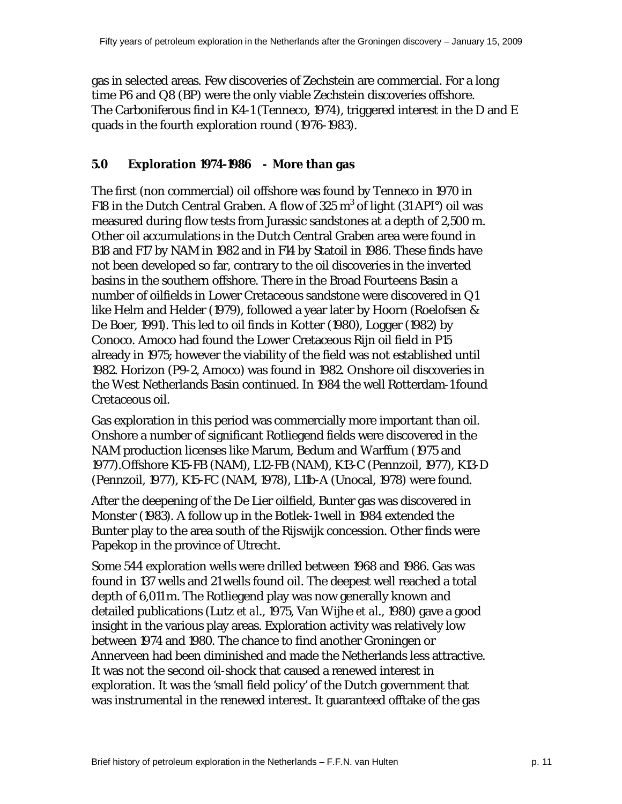gas in selected areas. Few discoveries of Zechstein are commercial. For a long time P6 and Q8 (BP) were the only viable Zechstein discoveries offshore. The Carboniferous find in K4-1 (Tenneco, 1974), triggered interest in the D and E quads in the fourth exploration round (1976-1983).

#### **5.0 Exploration 1974-1986 - More than gas**

The first (non commercial) oil offshore was found by Tenneco in 1970 in F18 in the Dutch Central Graben. A flow of 325  $m^3$  of light (31 API°) oil was measured during flow tests from Jurassic sandstones at a depth of 2,500 m. Other oil accumulations in the Dutch Central Graben area were found in B18 and F17 by NAM in 1982 and in F14 by Statoil in 1986. These finds have not been developed so far, contrary to the oil discoveries in the inverted basins in the southern offshore. There in the Broad Fourteens Basin a number of oilfields in Lower Cretaceous sandstone were discovered in Q1 like Helm and Helder (1979), followed a year later by Hoorn (Roelofsen & De Boer, 1991). This led to oil finds in Kotter (1980), Logger (1982) by Conoco. Amoco had found the Lower Cretaceous Rijn oil field in P15 already in 1975; however the viability of the field was not established until 1982. Horizon (P9-2, Amoco) was found in 1982. Onshore oil discoveries in the West Netherlands Basin continued. In 1984 the well Rotterdam-1 found Cretaceous oil.

Gas exploration in this period was commercially more important than oil. Onshore a number of significant Rotliegend fields were discovered in the NAM production licenses like Marum, Bedum and Warffum (1975 and 1977).Offshore K15-FB (NAM), L12-FB (NAM), K13-C (Pennzoil, 1977), K13-D (Pennzoil, 1977), K15-FC (NAM, 1978), L11b-A (Unocal, 1978) were found.

After the deepening of the De Lier oilfield, Bunter gas was discovered in Monster (1983). A follow up in the Botlek-1 well in 1984 extended the Bunter play to the area south of the Rijswijk concession. Other finds were Papekop in the province of Utrecht.

Some 544 exploration wells were drilled between 1968 and 1986. Gas was found in 137 wells and 21 wells found oil. The deepest well reached a total depth of 6,011 m. The Rotliegend play was now generally known and detailed publications (Lutz *et al*., 1975, Van Wijhe *et al*., 1980) gave a good insight in the various play areas. Exploration activity was relatively low between 1974 and 1980. The chance to find another Groningen or Annerveen had been diminished and made the Netherlands less attractive. It was not the second oil-shock that caused a renewed interest in exploration. It was the 'small field policy' of the Dutch government that was instrumental in the renewed interest. It guaranteed offtake of the gas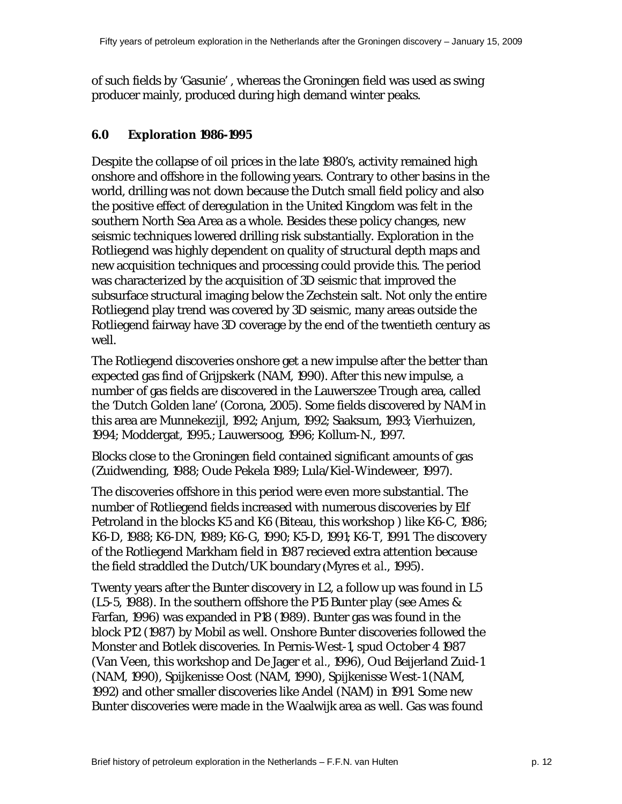of such fields by 'Gasunie' , whereas the Groningen field was used as swing producer mainly, produced during high demand winter peaks.

#### **6.0 Exploration 1986-1995**

Despite the collapse of oil prices in the late 1980's, activity remained high onshore and offshore in the following years. Contrary to other basins in the world, drilling was not down because the Dutch small field policy and also the positive effect of deregulation in the United Kingdom was felt in the southern North Sea Area as a whole. Besides these policy changes, new seismic techniques lowered drilling risk substantially. Exploration in the Rotliegend was highly dependent on quality of structural depth maps and new acquisition techniques and processing could provide this. The period was characterized by the acquisition of 3D seismic that improved the subsurface structural imaging below the Zechstein salt. Not only the entire Rotliegend play trend was covered by 3D seismic, many areas outside the Rotliegend fairway have 3D coverage by the end of the twentieth century as well.

The Rotliegend discoveries onshore get a new impulse after the better than expected gas find of Grijpskerk (NAM, 1990). After this new impulse, a number of gas fields are discovered in the Lauwerszee Trough area, called the 'Dutch Golden lane' (Corona, 2005). Some fields discovered by NAM in this area are Munnekezijl, 1992; Anjum, 1992; Saaksum, 1993; Vierhuizen, 1994; Moddergat, 1995.; Lauwersoog, 1996; Kollum-N., 1997.

Blocks close to the Groningen field contained significant amounts of gas (Zuidwending, 1988; Oude Pekela 1989; Lula/Kiel-Windeweer, 1997).

The discoveries offshore in this period were even more substantial. The number of Rotliegend fields increased with numerous discoveries by Elf Petroland in the blocks K5 and K6 (Biteau, this workshop) like K6-C, 1986; K6-D, 1988; K6-DN, 1989; K6-G, 1990; K5-D, 1991; K6-T, 1991. The discovery of the Rotliegend Markham field in 1987 recieved extra attention because the field straddled the Dutch/UK boundary **(**Myres *et al*., 1995).

Twenty years after the Bunter discovery in L2, a follow up was found in L5 (L5-5, 1988). In the southern offshore the P15 Bunter play (see Ames & Farfan, 1996) was expanded in P18 (1989). Bunter gas was found in the block P12 (1987) by Mobil as well. Onshore Bunter discoveries followed the Monster and Botlek discoveries. In Pernis-West-1, spud October 4 1987 (Van Veen, this workshop and De Jager *et al.,* 1996), Oud Beijerland Zuid-1 (NAM, 1990), Spijkenisse Oost (NAM, 1990), Spijkenisse West-1 (NAM, 1992) and other smaller discoveries like Andel (NAM) in 1991. Some new Bunter discoveries were made in the Waalwijk area as well. Gas was found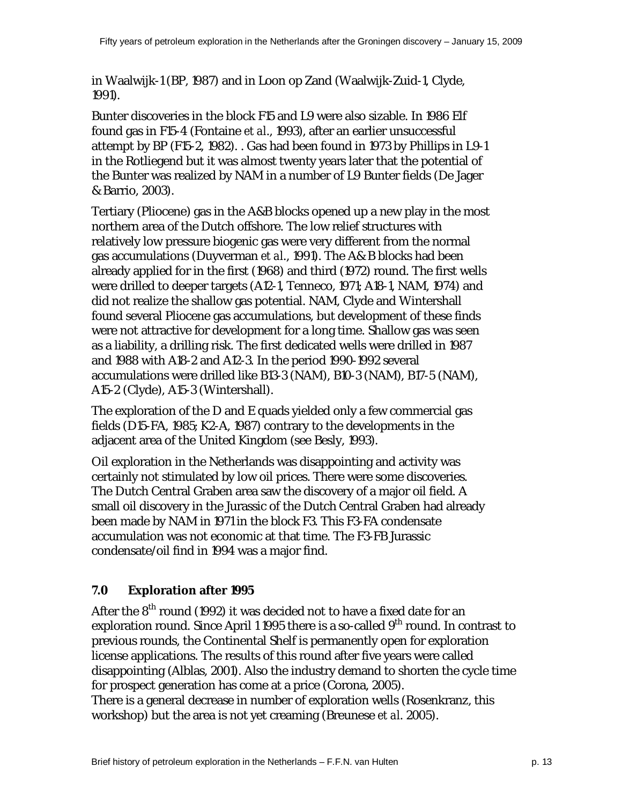in Waalwijk-1 (BP, 1987) and in Loon op Zand (Waalwijk-Zuid-1, Clyde, 1991).

Bunter discoveries in the block F15 and L9 were also sizable. In 1986 Elf found gas in F15-4 (Fontaine *et al*., 1993), after an earlier unsuccessful attempt by BP (F15-2, 1982). . Gas had been found in 1973 by Phillips in L9-1 in the Rotliegend but it was almost twenty years later that the potential of the Bunter was realized by NAM in a number of L9 Bunter fields (De Jager & Barrio, 2003).

Tertiary (Pliocene) gas in the A&B blocks opened up a new play in the most northern area of the Dutch offshore. The low relief structures with relatively low pressure biogenic gas were very different from the normal gas accumulations (Duyverman *et al*., 1991). The A& B blocks had been already applied for in the first (1968) and third (1972) round. The first wells were drilled to deeper targets (A12-1, Tenneco, 1971; A18-1, NAM, 1974) and did not realize the shallow gas potential. NAM, Clyde and Wintershall found several Pliocene gas accumulations, but development of these finds were not attractive for development for a long time. Shallow gas was seen as a liability, a drilling risk. The first dedicated wells were drilled in 1987 and 1988 with A18-2 and A12-3. In the period 1990-1992 several accumulations were drilled like B13-3 (NAM), B10-3 (NAM), B17-5 (NAM), A15-2 (Clyde), A15-3 (Wintershall).

The exploration of the D and E quads yielded only a few commercial gas fields (D15-FA, 1985; K2-A, 1987) contrary to the developments in the adjacent area of the United Kingdom (see Besly, 1993).

Oil exploration in the Netherlands was disappointing and activity was certainly not stimulated by low oil prices. There were some discoveries. The Dutch Central Graben area saw the discovery of a major oil field. A small oil discovery in the Jurassic of the Dutch Central Graben had already been made by NAM in 1971 in the block F3. This F3-FA condensate accumulation was not economic at that time. The F3-FB Jurassic condensate/oil find in 1994 was a major find.

# **7.0 Exploration after 1995**

After the  $8<sup>th</sup>$  round (1992) it was decided not to have a fixed date for an exploration round. Since April 1 1995 there is a so-called 9<sup>th</sup> round. In contrast to previous rounds, the Continental Shelf is permanently open for exploration license applications. The results of this round after five years were called disappointing (Alblas, 2001). Also the industry demand to shorten the cycle time for prospect generation has come at a price (Corona, 2005). There is a general decrease in number of exploration wells (Rosenkranz, this workshop) but the area is not yet creaming (Breunese *et al*. 2005).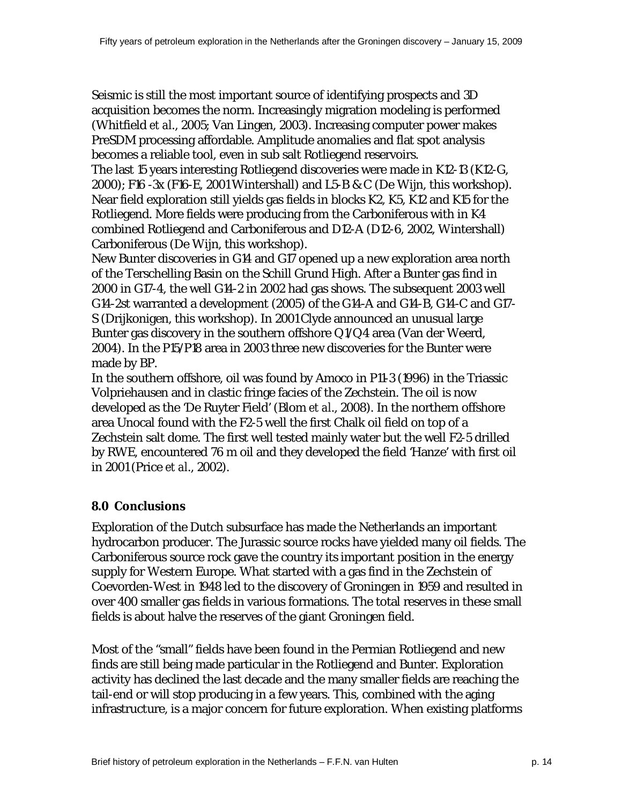Seismic is still the most important source of identifying prospects and 3D acquisition becomes the norm. Increasingly migration modeling is performed (Whitfield *et al*., 2005; Van Lingen, 2003). Increasing computer power makes PreSDM processing affordable. Amplitude anomalies and flat spot analysis becomes a reliable tool, even in sub salt Rotliegend reservoirs.

The last 15 years interesting Rotliegend discoveries were made in K12-13 (K12-G, 2000); F16 -3x (F16-E, 2001 Wintershall) and L5-B & C (De Wijn, this workshop). Near field exploration still yields gas fields in blocks K2, K5, K12 and K15 for the Rotliegend. More fields were producing from the Carboniferous with in K4 combined Rotliegend and Carboniferous and D12-A (D12-6, 2002, Wintershall) Carboniferous (De Wijn, this workshop).

New Bunter discoveries in G14 and G17 opened up a new exploration area north of the Terschelling Basin on the Schill Grund High. After a Bunter gas find in 2000 in G17-4, the well G14-2 in 2002 had gas shows. The subsequent 2003 well G14-2st warranted a development (2005) of the G14-A and G14-B, G14-C and G17- S (Drijkonigen, this workshop). In 2001 Clyde announced an unusual large Bunter gas discovery in the southern offshore Q1/Q4 area (Van der Weerd, 2004). In the P15/P18 area in 2003 three new discoveries for the Bunter were made by BP.

In the southern offshore, oil was found by Amoco in P11-3 (1996) in the Triassic Volpriehausen and in clastic fringe facies of the Zechstein. The oil is now developed as the 'De Ruyter Field' (Blom *et al*., 2008). In the northern offshore area Unocal found with the F2-5 well the first Chalk oil field on top of a Zechstein salt dome. The first well tested mainly water but the well F2-5 drilled by RWE, encountered 76 m oil and they developed the field 'Hanze' with first oil in 2001 (Price *et al*., 2002).

# **8.0 Conclusions**

Exploration of the Dutch subsurface has made the Netherlands an important hydrocarbon producer. The Jurassic source rocks have yielded many oil fields. The Carboniferous source rock gave the country its important position in the energy supply for Western Europe. What started with a gas find in the Zechstein of Coevorden-West in 1948 led to the discovery of Groningen in 1959 and resulted in over 400 smaller gas fields in various formations. The total reserves in these small fields is about halve the reserves of the giant Groningen field.

Most of the "small" fields have been found in the Permian Rotliegend and new finds are still being made particular in the Rotliegend and Bunter. Exploration activity has declined the last decade and the many smaller fields are reaching the tail-end or will stop producing in a few years. This, combined with the aging infrastructure, is a major concern for future exploration. When existing platforms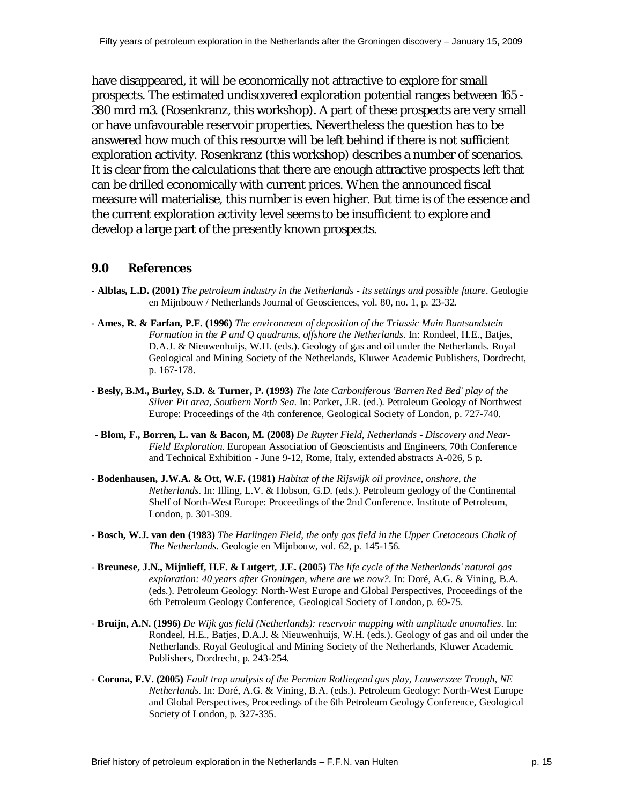have disappeared, it will be economically not attractive to explore for small prospects. The estimated undiscovered exploration potential ranges between 165 - 380 mrd m3. (Rosenkranz, this workshop). A part of these prospects are very small or have unfavourable reservoir properties. Nevertheless the question has to be answered how much of this resource will be left behind if there is not sufficient exploration activity. Rosenkranz (this workshop) describes a number of scenarios. It is clear from the calculations that there are enough attractive prospects left that can be drilled economically with current prices. When the announced fiscal measure will materialise, this number is even higher. But time is of the essence and the current exploration activity level seems to be insufficient to explore and develop a large part of the presently known prospects.

#### **9.0 References**

- **Alblas, L.D. (2001)** *The petroleum industry in the Netherlands its settings and possible future*. Geologie en Mijnbouw / Netherlands Journal of Geosciences, vol. 80, no. 1, p. 23-32.
- **Ames, R. & Farfan, P.F. (1996)** *The environment of deposition of the Triassic Main Buntsandstein Formation in the P and Q quadrants, offshore the Netherlands*. In: Rondeel, H.E., Batjes, D.A.J. & Nieuwenhuijs, W.H. (eds.). Geology of gas and oil under the Netherlands. Royal Geological and Mining Society of the Netherlands, Kluwer Academic Publishers, Dordrecht, p. 167-178.
- **Besly, B.M., Burley, S.D. & Turner, P. (1993)** *The late Carboniferous 'Barren Red Bed' play of the Silver Pit area, Southern North Sea*. In: Parker, J.R. (ed.). Petroleum Geology of Northwest Europe: Proceedings of the 4th conference, Geological Society of London, p. 727-740.
- **Blom, F., Borren, L. van & Bacon, M. (2008)** *De Ruyter Field, Netherlands Discovery and Near-Field Exploration*. European Association of Geoscientists and Engineers, 70th Conference and Technical Exhibition - June 9-12, Rome, Italy, extended abstracts A-026, 5 p.
- **Bodenhausen, J.W.A. & Ott, W.F. (1981)** *Habitat of the Rijswijk oil province, onshore, the Netherlands*. In: Illing, L.V. & Hobson, G.D. (eds.). Petroleum geology of the Continental Shelf of North-West Europe: Proceedings of the 2nd Conference. Institute of Petroleum, London, p. 301-309.
- **Bosch, W.J. van den (1983)** *The Harlingen Field, the only gas field in the Upper Cretaceous Chalk of The Netherlands*. Geologie en Mijnbouw, vol. 62, p. 145-156.
- **Breunese, J.N., Mijnlieff, H.F. & Lutgert, J.E. (2005)** *The life cycle of the Netherlands' natural gas exploration: 40 years after Groningen, where are we now?*. In: Doré, A.G. & Vining, B.A. (eds.). Petroleum Geology: North-West Europe and Global Perspectives, Proceedings of the 6th Petroleum Geology Conference, Geological Society of London, p. 69-75.
- **Bruijn, A.N. (1996)** *De Wijk gas field (Netherlands): reservoir mapping with amplitude anomalies*. In: Rondeel, H.E., Batjes, D.A.J. & Nieuwenhuijs, W.H. (eds.). Geology of gas and oil under the Netherlands. Royal Geological and Mining Society of the Netherlands, Kluwer Academic Publishers, Dordrecht, p. 243-254.
- **Corona, F.V. (2005)** *Fault trap analysis of the Permian Rotliegend gas play, Lauwerszee Trough, NE Netherlands*. In: Doré, A.G. & Vining, B.A. (eds.). Petroleum Geology: North-West Europe and Global Perspectives, Proceedings of the 6th Petroleum Geology Conference, Geological Society of London, p. 327-335.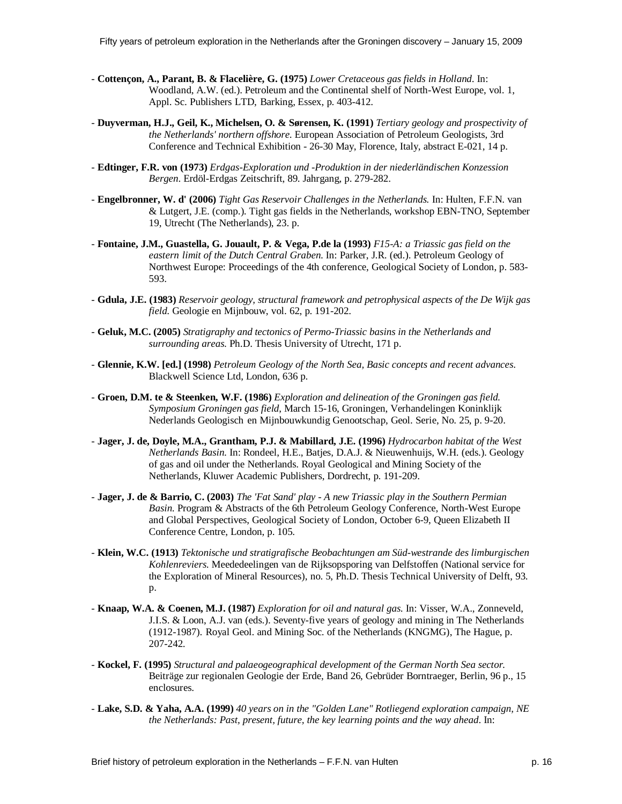- **Cottençon, A., Parant, B. & Flacelière, G. (1975)** *Lower Cretaceous gas fields in Holland*. In: Woodland, A.W. (ed.). Petroleum and the Continental shelf of North-West Europe, vol. 1, Appl. Sc. Publishers LTD, Barking, Essex, p. 403-412.
- **Duyverman, H.J., Geil, K., Michelsen, O. & Sørensen, K. (1991)** *Tertiary geology and prospectivity of the Netherlands' northern offshore*. European Association of Petroleum Geologists, 3rd Conference and Technical Exhibition - 26-30 May, Florence, Italy, abstract E-021, 14 p.
- **Edtinger, F.R. von (1973)** *Erdgas-Exploration und -Produktion in der niederländischen Konzession Bergen*. Erdöl-Erdgas Zeitschrift, 89. Jahrgang, p. 279-282.
- **Engelbronner, W. d' (2006)** *Tight Gas Reservoir Challenges in the Netherlands.* In: Hulten, F.F.N. van & Lutgert, J.E. (comp.). Tight gas fields in the Netherlands, workshop EBN-TNO, September 19, Utrecht (The Netherlands), 23. p.
- **Fontaine, J.M., Guastella, G. Jouault, P. & Vega, P.de la (1993)** *F15-A: a Triassic gas field on the eastern limit of the Dutch Central Graben*. In: Parker, J.R. (ed.). Petroleum Geology of Northwest Europe: Proceedings of the 4th conference, Geological Society of London, p. 583- 593.
- **Gdula, J.E. (1983)** *Reservoir geology, structural framework and petrophysical aspects of the De Wijk gas field*. Geologie en Mijnbouw, vol. 62, p. 191-202.
- **Geluk, M.C. (2005)** *Stratigraphy and tectonics of Permo-Triassic basins in the Netherlands and surrounding areas*. Ph.D. Thesis University of Utrecht, 171 p.
- **Glennie, K.W. [ed.] (1998)** *Petroleum Geology of the North Sea, Basic concepts and recent advances*. Blackwell Science Ltd, London, 636 p.
- **Groen, D.M. te & Steenken, W.F. (1986)** *Exploration and delineation of the Groningen gas field. Symposium Groningen gas field*, March 15-16, Groningen, Verhandelingen Koninklijk Nederlands Geologisch en Mijnbouwkundig Genootschap, Geol. Serie, No. 25, p. 9-20.
- **Jager, J. de, Doyle, M.A., Grantham, P.J. & Mabillard, J.E. (1996)** *Hydrocarbon habitat of the West Netherlands Basin*. In: Rondeel, H.E., Batjes, D.A.J. & Nieuwenhuijs, W.H. (eds.). Geology of gas and oil under the Netherlands. Royal Geological and Mining Society of the Netherlands, Kluwer Academic Publishers, Dordrecht, p. 191-209.
- **Jager, J. de & Barrio, C. (2003)** *The 'Fat Sand' play A new Triassic play in the Southern Permian Basin*. Program & Abstracts of the 6th Petroleum Geology Conference, North-West Europe and Global Perspectives, Geological Society of London, October 6-9, Queen Elizabeth II Conference Centre, London, p. 105.
- **Klein, W.C. (1913)** *Tektonische und stratigrafische Beobachtungen am Süd-westrande des limburgischen Kohlenreviers*. Meededeelingen van de Rijksopsporing van Delfstoffen (National service for the Exploration of Mineral Resources), no. 5, Ph.D. Thesis Technical University of Delft, 93. p.
- **Knaap, W.A. & Coenen, M.J. (1987)** *Exploration for oil and natural gas*. In: Visser, W.A., Zonneveld, J.I.S. & Loon, A.J. van (eds.). Seventy-five years of geology and mining in The Netherlands (1912-1987). Royal Geol. and Mining Soc. of the Netherlands (KNGMG), The Hague, p. 207-242.
- **Kockel, F. (1995)** *Structural and palaeogeographical development of the German North Sea sector.* Beiträge zur regionalen Geologie der Erde, Band 26, Gebrüder Borntraeger, Berlin, 96 p., 15 enclosures.
- **Lake, S.D. & Yaha, A.A. (1999)** *40 years on in the "Golden Lane" Rotliegend exploration campaign, NE the Netherlands: Past, present, future, the key learning points and the way ahead*. In: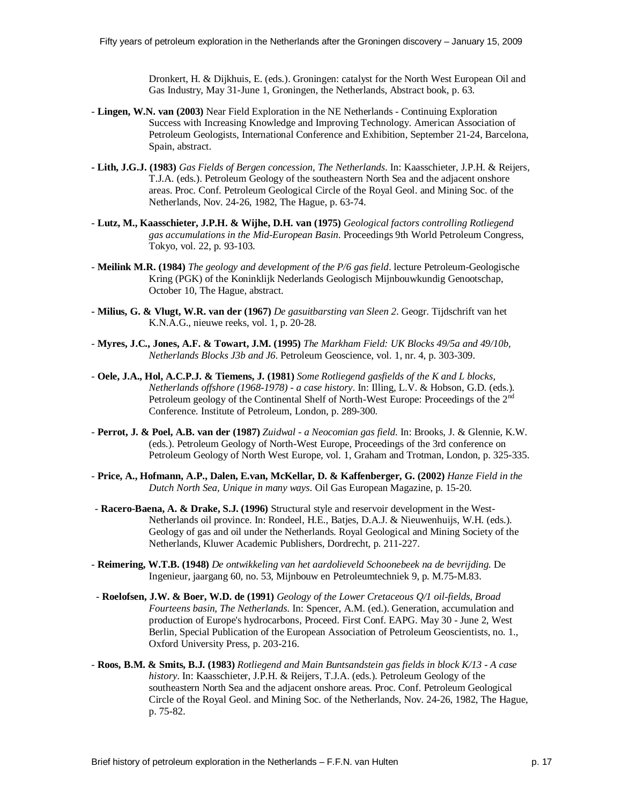Dronkert, H. & Dijkhuis, E. (eds.). Groningen: catalyst for the North West European Oil and Gas Industry, May 31-June 1, Groningen, the Netherlands, Abstract book, p. 63.

- **Lingen, W.N. van (2003)** Near Field Exploration in the NE Netherlands Continuing Exploration Success with Increasing Knowledge and Improving Technology. American Association of Petroleum Geologists, International Conference and Exhibition, September 21-24, Barcelona, Spain, abstract.
- **Lith, J.G.J. (1983)** *Gas Fields of Bergen concession, The Netherlands*. In: Kaasschieter, J.P.H. & Reijers, T.J.A. (eds.). Petroleum Geology of the southeastern North Sea and the adjacent onshore areas. Proc. Conf. Petroleum Geological Circle of the Royal Geol. and Mining Soc. of the Netherlands, Nov. 24-26, 1982, The Hague, p. 63-74.
- **Lutz, M., Kaasschieter, J.P.H. & Wijhe, D.H. van (1975)** *Geological factors controlling Rotliegend gas accumulations in the Mid-European Basin*. Proceedings 9th World Petroleum Congress, Tokyo, vol. 22, p. 93-103.
- **Meilink M.R. (1984)** *The geology and development of the P/6 gas field*. lecture Petroleum-Geologische Kring (PGK) of the Koninklijk Nederlands Geologisch Mijnbouwkundig Genootschap, October 10, The Hague, abstract.
- **Milius, G. & Vlugt, W.R. van der (1967)** *De gasuitbarsting van Sleen 2*. Geogr. Tijdschrift van het K.N.A.G., nieuwe reeks, vol. 1, p. 20-28.
- **Myres, J.C., Jones, A.F. & Towart, J.M. (1995)** *The Markham Field: UK Blocks 49/5a and 49/10b, Netherlands Blocks J3b and J6*. Petroleum Geoscience, vol. 1, nr. 4, p. 303-309.
- **Oele, J.A., Hol, A.C.P.J. & Tiemens, J. (1981)** *Some Rotliegend gasfields of the K and L blocks, Netherlands offshore (1968-1978) - a case history*. In: Illing, L.V. & Hobson, G.D. (eds.). Petroleum geology of the Continental Shelf of North-West Europe: Proceedings of the 2<sup>nd</sup> Conference. Institute of Petroleum, London, p. 289-300.
- **Perrot, J. & Poel, A.B. van der (1987)** *Zuidwal a Neocomian gas field*. In: Brooks, J. & Glennie, K.W. (eds.). Petroleum Geology of North-West Europe, Proceedings of the 3rd conference on Petroleum Geology of North West Europe, vol. 1, Graham and Trotman, London, p. 325-335.
- **Price, A., Hofmann, A.P., Dalen, E.van, McKellar, D. & Kaffenberger, G. (2002)** *Hanze Field in the Dutch North Sea, Unique in many ways*. Oil Gas European Magazine, p. 15-20.
- **Racero-Baena, A. & Drake, S.J. (1996)** Structural style and reservoir development in the West-Netherlands oil province. In: Rondeel, H.E., Batjes, D.A.J. & Nieuwenhuijs, W.H. (eds.). Geology of gas and oil under the Netherlands. Royal Geological and Mining Society of the Netherlands, Kluwer Academic Publishers, Dordrecht, p. 211-227.
- **Reimering, W.T.B. (1948)** *De ontwikkeling van het aardolieveld Schoonebeek na de bevrijding*. De Ingenieur, jaargang 60, no. 53, Mijnbouw en Petroleumtechniek 9, p. M.75-M.83.
- **Roelofsen, J.W. & Boer, W.D. de (1991)** *Geology of the Lower Cretaceous Q/1 oil-fields, Broad Fourteens basin, The Netherlands*. In: Spencer, A.M. (ed.). Generation, accumulation and production of Europe's hydrocarbons, Proceed. First Conf. EAPG. May 30 - June 2, West Berlin, Special Publication of the European Association of Petroleum Geoscientists, no. 1., Oxford University Press, p. 203-216.
- **Roos, B.M. & Smits, B.J. (1983)** *Rotliegend and Main Buntsandstein gas fields in block K/13 A case history*. In: Kaasschieter, J.P.H. & Reijers, T.J.A. (eds.). Petroleum Geology of the southeastern North Sea and the adjacent onshore areas. Proc. Conf. Petroleum Geological Circle of the Royal Geol. and Mining Soc. of the Netherlands, Nov. 24-26, 1982, The Hague, p. 75-82.